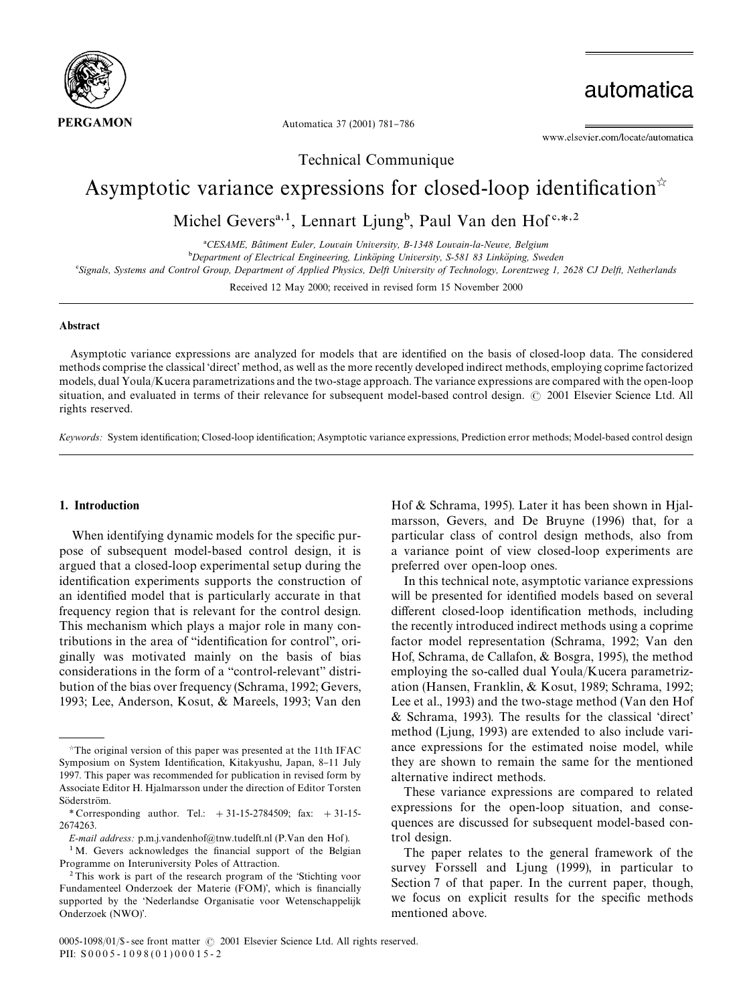

automatica

Automatica 37 (2001) 781-786

www.elsevier.com/locate/automatica

Technical Communique

# Asymptotic variance expressions for closed-loop identification<sup> $\dot{\alpha}$ </sup>

Michel Gevers<sup>a, 1</sup>, Lennart Ljung<sup>b</sup>, Paul Van den Hof<sup>c,\*, 2</sup>

*CESAME, Ba*L*timent Euler, Louvain University, B-1348 Louvain-la-Neuve, Belgium* <sup>b</sup>Department of Electrical Engineering, Linköping University, S-581 83 Linköping, Sweden *Signals, Systems and Control Group, Department of Applied Physics, Delft University of Technology, Lorentzweg 1, 2628 CJ Delft, Netherlands*

Received 12 May 2000; received in revised form 15 November 2000

#### Abstract

Asymptotic variance expressions are analyzed for models that are identified on the basis of closed-loop data. The considered methods comprise the classical 'direct' method, as well as the more recently developed indirect methods, employing coprime factorized models, dual Youla/Kucera parametrizations and the two-stage approach. The variance expressions are compared with the open-loop situation, and evaluated in terms of their relevance for subsequent model-based control design. © 2001 Elsevier Science Ltd. All rights reserved.

Keywords: System identification; Closed-loop identification; Asymptotic variance expressions, Prediction error methods; Model-based control design

# 1. Introduction

When identifying dynamic models for the specific purpose of subsequent model-based control design, it is argued that a closed-loop experimental setup during the identification experiments supports the construction of an identified model that is particularly accurate in that frequency region that is relevant for the control design. This mechanism which plays a major role in many contributions in the area of "identification for control", originally was motivated mainly on the basis of bias considerations in the form of a "control-relevant" distribution of the bias over frequency (Schrama, 1992; Gevers, 1993; Lee, Anderson, Kosut, & Mareels, 1993; Van den

Hof & Schrama, 1995). Later it has been shown in Hjalmarsson, Gevers, and De Bruyne (1996) that, for a particular class of control design methods, also from a variance point of view closed-loop experiments are preferred over open-loop ones. In this technical note, asymptotic variance expressions

will be presented for identified models based on several different closed-loop identification methods, including the recently introduced indirect methods using a coprime factor model representation (Schrama, 1992; Van den Hof, Schrama, de Callafon, & Bosgra, 1995), the method employing the so-called dual Youla/Kucera parametrization (Hansen, Franklin, & Kosut, 1989; Schrama, 1992; Lee et al., 1993) and the two-stage method (Van den Hof  $&$  Schrama, 1993). The results for the classical 'direct' method (Ljung, 1993) are extended to also include variance expressions for the estimated noise model, while they are shown to remain the same for the mentioned alternative indirect methods.

These variance expressions are compared to related expressions for the open-loop situation, and consequences are discussed for subsequent model-based control design.

The paper relates to the general framework of the survey Forssell and Ljung (1999), in particular to Section 7 of that paper. In the current paper, though, we focus on explicit results for the specific methods mentioned above.

 $\overline{P}$ The original version of this paper was presented at the 11th IFAC Symposium on System Identification, Kitakyushu, Japan, 8-11 July 1997. This paper was recommended for publication in revised form by Associate Editor H. Hjalmarsson under the direction of Editor Torsten Söderström.

*<sup>\*</sup>* Corresponding author. Tel.: #31-15-2784509; fax: #31-15- 2674263.

*E-mail address:* p.m.j.vandenhof@tnw.tudelft.nl (P.Van den Hof ).

<sup>&</sup>lt;sup>1</sup>M. Gevers acknowledges the financial support of the Belgian Programme on Interuniversity Poles of Attraction.

<sup>&</sup>lt;sup>2</sup> This work is part of the research program of the 'Stichting voor Fundamenteel Onderzoek der Materie (FOM)', which is financially supported by the 'Nederlandse Organisatie voor Wetenschappelijk Onderzoek (NWO)'.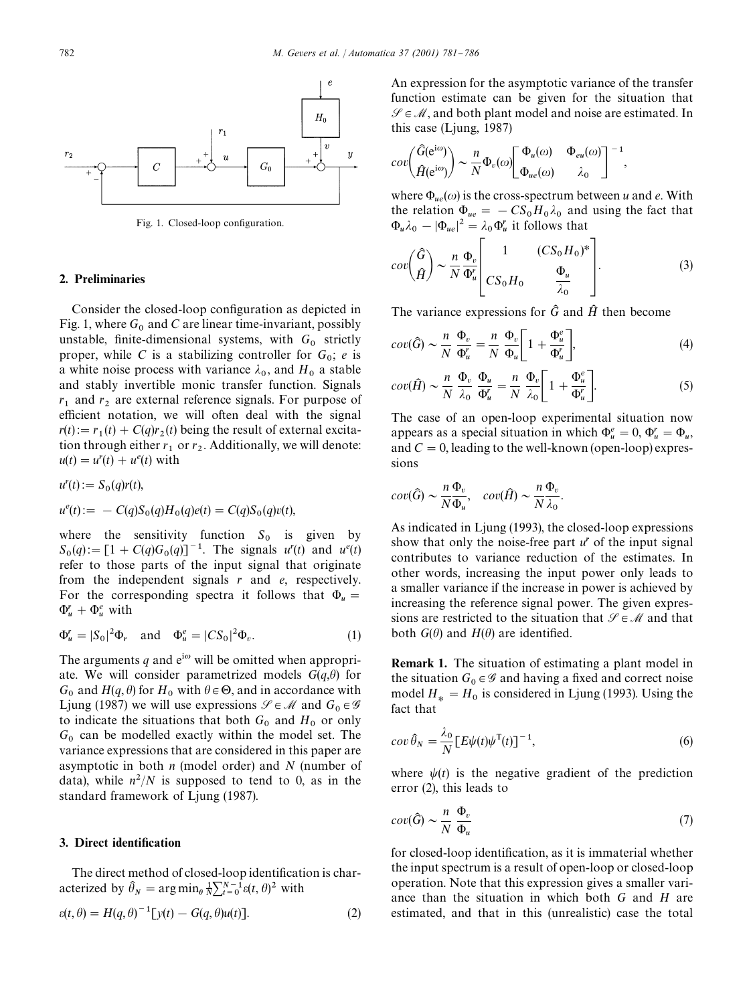

Fig. 1. Closed-loop configuration.

# 2. Preliminaries

Consider the closed-loop configuration as depicted in Fig. 1, where  $G_0$  and  $C$  are linear time-invariant, possibly unstable, finite-dimensional systems, with  $G_0$  strictly proper, while *C* is a stabilizing controller for  $G_0$ ; *e* is a white noise process with variance  $\lambda_0$ , and  $H_0$  a stable and stably invertible monic transfer function. Signals  $r_1$  and  $r_2$  are external reference signals. For purpose of efficient notation, we will often deal with the signal  $r(t) := r_1(t) + C(q)r_2(t)$  being the result of external excitation through either  $r_1$  or  $r_2$ . Additionally, we will denote:  $u(t) = u^{r}(t) + u^{e}(t)$  with

$$
u^{r}(t) := S_{0}(q)r(t),
$$
  
\n
$$
u^{e}(t) := -C(q)S_{0}(q)H_{0}(q)e(t) = C(q)S_{0}(q)v(t),
$$

where the sensitivity function  $S_0$  is given by  $S_0(q) := [1 + C(q)G_0(q)]^{-1}$ . The signals *u*<sup>*t*</sup>(*t*) and *u*<sup>*e*</sup>(*t*) refer to those parts of the input signal that originate from the independent signals *r* and *e*, respectively. For the corresponding spectra it follows that  $\Phi_u =$  $\Phi_u^r + \Phi_u^e$  with

$$
\Phi_u^r = |S_0|^2 \Phi_r \quad \text{and} \quad \Phi_u^e = |CS_0|^2 \Phi_v. \tag{1}
$$

The arguments  $q$  and  $e^{i\omega}$  will be omitted when appropriate. We will consider parametrized models  $G(q,\theta)$  for  $G_0$  and  $H(q, \theta)$  for  $H_0$  with  $\theta \in \Theta$ , and in accordance with Ljung (1987) we will use expressions  $\mathcal{S} \in \mathcal{M}$  and  $G_0 \in \mathcal{G}$ to indicate the situations that both  $G_0$  and  $H_0$  or only *<sup>G</sup>* can be modelled exactly within the model set. The variance expressions that are considered in this paper are asymptotic in both *n* (model order) and *N* (number of data), while  $n^2/N$  is supposed to tend to 0, as in the standard framework of Ljung (1987).

#### 3. Direct identification

The direct method of closed-loop identification is characterized by  $\hat{\theta}_N = \arg \min_{\theta} \frac{1}{N} \sum_{t=0}^{N-1} \varepsilon(t, \theta)^2$  with

$$
\varepsilon(t,\theta) = H(q,\theta)^{-1} \left[ y(t) - G(q,\theta)u(t) \right]. \tag{2}
$$

An expression for the asymptotic variance of the transfer function estimate can be given for the situation that  $\mathscr{S} \in \mathscr{M}$ , and both plant model and noise are estimated. In this case (Ljung, 1987)

$$
cov\left(\frac{\hat{G}(e^{i\omega})}{\hat{H}(e^{i\omega})}\right) \sim \frac{n}{N} \Phi_v(\omega) \left[\begin{matrix} \Phi_u(\omega) & \Phi_{eu}(\omega) \\ \Phi_{ue}(\omega) & \lambda_0 \end{matrix}\right]^{-1},
$$

where  $\Phi_{ue}(\omega)$  is the cross-spectrum between *u* and *e*. With the relation  $\Phi_{ue} = -CS_0H_0\lambda_0$  and using the fact that  $\Phi_u \lambda_0 - |\Phi_{ue}|^2 = \lambda_0 \Phi_u^r$  it follows that

$$
cov\left(\frac{\hat{G}}{\hat{H}}\right) \sim \frac{n}{N} \frac{\Phi_v}{\Phi_u'} \left[ \frac{1}{CS_0 H_0} \frac{(CS_0 H_0)^*}{\frac{\Phi_u}{\lambda_0}} \right].
$$
 (3)

The variance expressions for  $\hat{G}$  and  $\hat{H}$  then become

$$
cov(\hat{G}) \sim \frac{n}{N} \frac{\Phi_v}{\Phi_u'} = \frac{n}{N} \frac{\Phi_v}{\Phi_u} \left[ 1 + \frac{\Phi_u^e}{\Phi_u'} \right],
$$
(4)

$$
cov(\hat{H}) \sim \frac{n}{N} \frac{\Phi_v}{\lambda_0} \frac{\Phi_u}{\Phi_u'} = \frac{n}{N} \frac{\Phi_v}{\lambda_0} \left[ 1 + \frac{\Phi_u''}{\Phi_u''} \right].
$$
 (5)

The case of an open-loop experimental situation now appears as a special situation in which  $\Phi_u^e = 0$ ,  $\Phi_u^r = \Phi_u$ , and  $C = 0$ , leading to the well-known (open-loop) expressions

$$
cov(\hat{G}) \sim \frac{n \Phi_v}{N \Phi_u}, \quad cov(\hat{H}) \sim \frac{n \Phi_v}{N \lambda_0}.
$$

As indicated in Ljung (1993), the closed-loop expressions show that only the noise-free part  $u^r$  of the input signal contributes to variance reduction of the estimates. In other words, increasing the input power only leads to a smaller variance if the increase in power is achieved by increasing the reference signal power. The given expressions are restricted to the situation that  $\mathcal{S} \in \mathcal{M}$  and that both  $G(\theta)$  and  $H(\theta)$  are identified.

Remark 1. The situation of estimating a plant model in the situation  $G_0 \in \mathscr{G}$  and having a fixed and correct noise model  $H_* = H_0$  is considered in Ljung (1993). Using the fact that

$$
cov\,\hat{\theta}_N = \frac{\lambda_0}{N} \left[ E\psi(t)\psi^{\mathrm{T}}(t) \right]^{-1},\tag{6}
$$

where  $\psi(t)$  is the negative gradient of the prediction error (2), this leads to

$$
cov(\hat{G}) \sim \frac{n}{N} \frac{\Phi_v}{\Phi_u} \tag{7}
$$

for closed-loop identification, as it is immaterial whether the input spectrum is a result of open-loop or closed-loop operation. Note that this expression gives a smaller variance than the situation in which both *G* and *H* are estimated, and that in this (unrealistic) case the total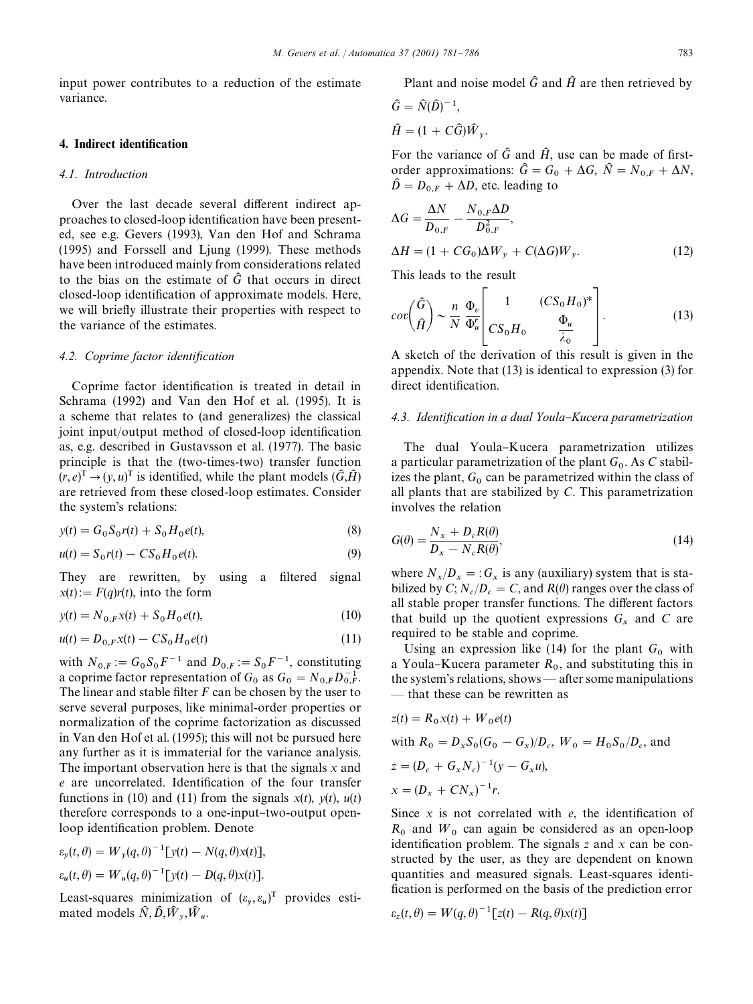input power contributes to a reduction of the estimate variance.

## 4. Indirect identification

## *4.1. Introduction*

Over the last decade several different indirect approaches to closed-loop identification have been presented, see e.g. Gevers (1993), Van den Hof and Schrama (1995) and Forssell and Ljung (1999). These methods have been introduced mainly from considerations related to the bias on the estimate of  $\hat{G}$  that occurs in direct closed-loop identification of approximate models. Here, we will briefly illustrate their properties with respect to the variance of the estimates.

#### 4.2. Coprime factor identification

Coprime factor identification is treated in detail in Schrama (1992) and Van den Hof et al. (1995). It is a scheme that relates to (and generalizes) the classical joint input/output method of closed-loop identification as, e.g. described in Gustavsson et al. (1977). The basic principle is that the (two-times-two) transfer function  $(r, e)^T \rightarrow (v, u)^T$  is identified, while the plant models  $(\hat{G}, \hat{H})$ are retrieved from these closed-loop estimates. Consider the system's relations:

$$
y(t) = G_0 S_0 r(t) + S_0 H_0 e(t),
$$
\n(8)

$$
u(t) = S_0 r(t) - C S_0 H_0 e(t).
$$
\n(9)

They are rewritten, by using a filtered signal  $x(t) := F(q)r(t)$ , into the form

$$
y(t) = N_{0,F}x(t) + S_0H_0e(t),
$$
\n(10)

$$
u(t) = D_{0,F}x(t) - CS_0H_0e(t)
$$
\n(11)

with  $N_{0,F} := G_0 S_0 F^{-1}$  and  $D_{0,F} := S_0 F^{-1}$ , constituting a coprime factor representation of  $G_0$  as  $G_0 = N_{0,F} D_{0,F}^{-1}$ . The linear and stable filter  $F$  can be chosen by the user to serve several purposes, like minimal-order properties or normalization of the coprime factorization as discussed in Van den Hof et al. (1995); this will not be pursued here any further as it is immaterial for the variance analysis. The important observation here is that the signals *x* and *e* are uncorrelated. Identification of the four transfer functions in (10) and (11) from the signals  $x(t)$ ,  $y(t)$ ,  $u(t)$ therefore corresponds to a one-input-two-output openloop identification problem. Denote

$$
\varepsilon_{y}(t,\theta) = W_{y}(q,\theta)^{-1} [y(t) - N(q,\theta)x(t)],
$$
  

$$
\varepsilon_{u}(t,\theta) = W_{u}(q,\theta)^{-1} [y(t) - D(q,\theta)x(t)].
$$

Least-squares minimization of  $(\varepsilon_y, \varepsilon_u)$ <sup>T</sup> provides estimated models  $\hat{N}, \hat{D}, \hat{W}_y, \hat{W}_u$ .

Plant and noise model  $\hat{G}$  and  $\hat{H}$  are then retrieved by

$$
\hat{G} = \hat{N}(\hat{D})^{-1},
$$
  

$$
\hat{H} = (1 + C\hat{G})\hat{W}_y.
$$

For the variance of  $\hat{G}$  and  $\hat{H}$ , use can be made of firstorder approximations:  $\hat{G} = G_0 + \Delta G$ ,  $\hat{N} = N_{0,F} + \Delta N$ ,  $\hat{D} = D_{0,F} + \Delta D$ , etc. leading to

$$
\Delta G = \frac{\Delta N}{D_{0,F}} - \frac{N_{0,F}\Delta D}{D_{0,F}^2},
$$
  
\n
$$
\Delta H = (1 + CG_0)\Delta W_y + C(\Delta G)W_y.
$$
\n(12)

This leads to the result

$$
cov\left(\widehat{H}\right) \sim \frac{n}{N} \frac{\Phi_v}{\Phi_u'} \left[ \frac{1}{CS_0H_0} \frac{(CS_0H_0)^*}{\Phi_u} \right].
$$
 (13)

A sketch of the derivation of this result is given in the appendix. Note that (13) is identical to expression (3) for direct identification.

#### *4.3. Identification in a dual Youla–Kucera parametrization*

The dual Youla-Kucera parametrization utilizes a particular parametrization of the plant *<sup>G</sup>* . As *C* stabilizes the plant,  $G_0$  can be parametrized within the class of all plants that are stabilized by *C*. This parametrization involves the relation

$$
G(\theta) = \frac{N_x + D_c R(\theta)}{D_x - N_c R(\theta)},
$$
\n(14)

where  $N_x/D_x = : G_x$  is any (auxiliary) system that is stabilized by *C*;  $N_c/D_c = C$ , and  $R(\theta)$  ranges over the class of all stable proper transfer functions. The different factors that build up the quotient expressions  $G_x$  and  $C$  are required to be stable and coprime.

Using an expression like  $(14)$  for the plant  $G_0$  with a Youla–Kucera parameter  $R_0$ , and substituting this in the system's relations, shows  $-$  after some manipulations - that these can be rewritten as

$$
z(t) = R_0 x(t) + W_0 e(t)
$$
  
with  $R_0 = D_x S_0 (G_0 - G_x)/D_c$ ,  $W_0 = H_0 S_0/D_c$ , and  

$$
z = (D_c + G_x N_c)^{-1} (y - G_x u),
$$
  

$$
x = (D_x + C N_x)^{-1} r.
$$

Since  $x$  is not correlated with  $e$ , the identification of  $R_0$  and  $W_0$  can again be considered as an open-loop identification problem. The signals  $z$  and  $x$  can be constructed by the user, as they are dependent on known quantities and measured signals. Least-squares identi fication is performed on the basis of the prediction error

$$
\varepsilon_z(t,\theta) = W(q,\theta)^{-1} [z(t) - R(q,\theta)x(t)]
$$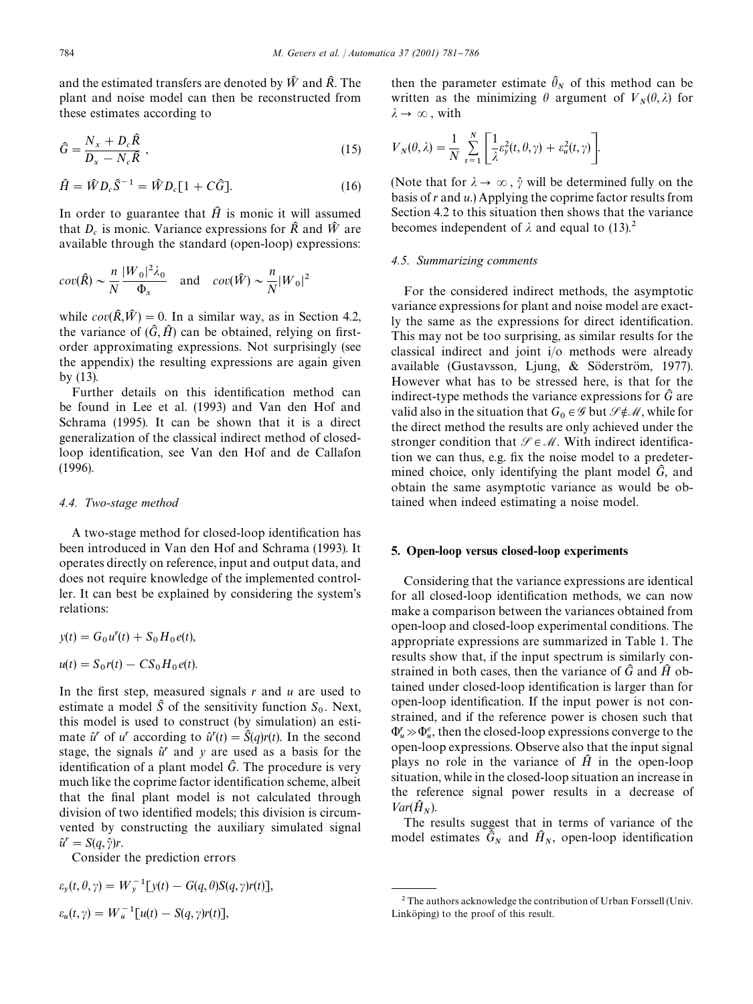and the estimated transfers are denoted by  $\hat{W}$  and  $\hat{R}$ . The plant and noise model can then be reconstructed from these estimates according to

$$
\hat{G} = \frac{N_x + D_c \hat{R}}{D_x - N_c \hat{R}},
$$
\n(15)

$$
\hat{H} = \hat{W} D_c \hat{S}^{-1} = \hat{W} D_c [1 + C \hat{G}].
$$
\n(16)

In order to guarantee that  $\hat{H}$  is monic it will assumed that  $D_c$  is monic. Variance expressions for  $\hat{R}$  and  $\hat{W}$  are available through the standard (open-loop) expressions:

$$
cov(\hat{R}) \sim \frac{n}{N} \frac{|W_0|^2 \lambda_0}{\Phi_x} \quad \text{and} \quad cov(\hat{W}) \sim \frac{n}{N} |W_0|^2
$$

while  $cov(\hat{R},\hat{W})=0$ . In a similar way, as in Section 4.2, the variance of  $(\hat{G}, \hat{H})$  can be obtained, relying on firstorder approximating expressions. Not surprisingly (see the appendix) the resulting expressions are again given by (13).

Further details on this identification method can be found in Lee et al. (1993) and Van den Hof and Schrama (1995). It can be shown that it is a direct generalization of the classical indirect method of closedloop identification, see Van den Hof and de Callafon (1996).

# *4.4. Two-stage method*

A two-stage method for closed-loop identification has been introduced in Van den Hof and Schrama (1993). It operates directly on reference, input and output data, and does not require knowledge of the implemented controller. It can best be explained by considering the system's relations:

$$
y(t) = G_0 u^r(t) + S_0 H_0 e(t),
$$

$$
u(t) = S_0 r(t) - C S_0 H_0 e(t).
$$

In the first step, measured signals *r* and *u* are used to estimate a model  $\hat{S}$  of the sensitivity function  $S_0$ . Next, this model is used to construct (by simulation) an estimate  $\hat{u}^r$  of  $u^r$  according to  $\hat{u}^r(t) = \hat{S}(q)r(t)$ . In the second stage, the signals  $\hat{u}^r$  and  $y$  are used as a basis for the identification of a plant model  $\hat{G}$ . The procedure is very much like the coprime factor identification scheme, albeit that the final plant model is not calculated through division of two identified models; this division is circumvented by constructing the auxiliary simulated signal  $\hat{u}^r = S(q, \hat{\gamma})r$ .

Consider the prediction errors

$$
\varepsilon_{y}(t,\theta,\gamma) = W_{y}^{-1}[y(t) - G(q,\theta)S(q,\gamma)r(t)],
$$
  

$$
\varepsilon_{u}(t,\gamma) = W_{u}^{-1}[u(t) - S(q,\gamma)r(t)],
$$

then the parameter estimate  $\hat{\theta}_N$  of this method can be written as the minimizing  $\theta$  argument of  $V_N(\theta, \lambda)$  for  $\lambda \rightarrow \infty$ , with

$$
V_N(\theta, \lambda) = \frac{1}{N} \sum_{t=1}^N \left[ \frac{1}{\lambda} \varepsilon_y^2(t, \theta, \gamma) + \varepsilon_u^2(t, \gamma) \right].
$$

(Note that for  $\lambda \to \infty$ ,  $\hat{\gamma}$  will be determined fully on the basis of *r* and *u*.) Applying the coprime factor results from Section 4.2 to this situation then shows that the variance becomes independent of  $\lambda$  and equal to (13).<sup>2</sup>

### *4.5. Summarizing comments*

For the considered indirect methods, the asymptotic variance expressions for plant and noise model are exactly the same as the expressions for direct identification. This may not be too surprising, as similar results for the classical indirect and joint i/o methods were already available (Gustavsson, Ljung, & Söderström, 1977). However what has to be stressed here, is that for the indirect-type methods the variance expressions for  $\hat{G}$  are valid also in the situation that  $G_0 \in \mathscr{G}$  but  $\mathscr{S} \notin \mathscr{M}$ , while for the direct method the results are only achieved under the stronger condition that  $\mathcal{S} \in \mathcal{M}$ . With indirect identification we can thus, e.g. fix the noise model to a predetermined choice, only identifying the plant model  $\hat{G}$ , and obtain the same asymptotic variance as would be obtained when indeed estimating a noise model.

# 5. Open-loop versus closed-loop experiments

Considering that the variance expressions are identical for all closed-loop identification methods, we can now make a comparison between the variances obtained from open-loop and closed-loop experimental conditions. The appropriate expressions are summarized in Table 1. The results show that, if the input spectrum is similarly constrained in both cases, then the variance of  $\hat{G}$  and  $\hat{H}$  obtained under closed-loop identification is larger than for open-loop identification. If the input power is not constrained, and if the reference power is chosen such that  $\Phi_u^r \gg \Phi_u^e$ , then the closed-loop expressions converge to the open-loop expressions. Observe also that the input signal plays no role in the variance of  $\hat{H}$  in the open-loop situation, while in the closed-loop situation an increase in the reference signal power results in a decrease of  $Var(\hat{H}_N)$ .

The results suggest that in terms of variance of the model estimates  $\hat{G}_N$  and  $\hat{H}_N$ , open-loop identification

<sup>&</sup>lt;sup>2</sup> The authors acknowledge the contribution of Urban Forssell (Univ. Linkoping) to the proof of this result.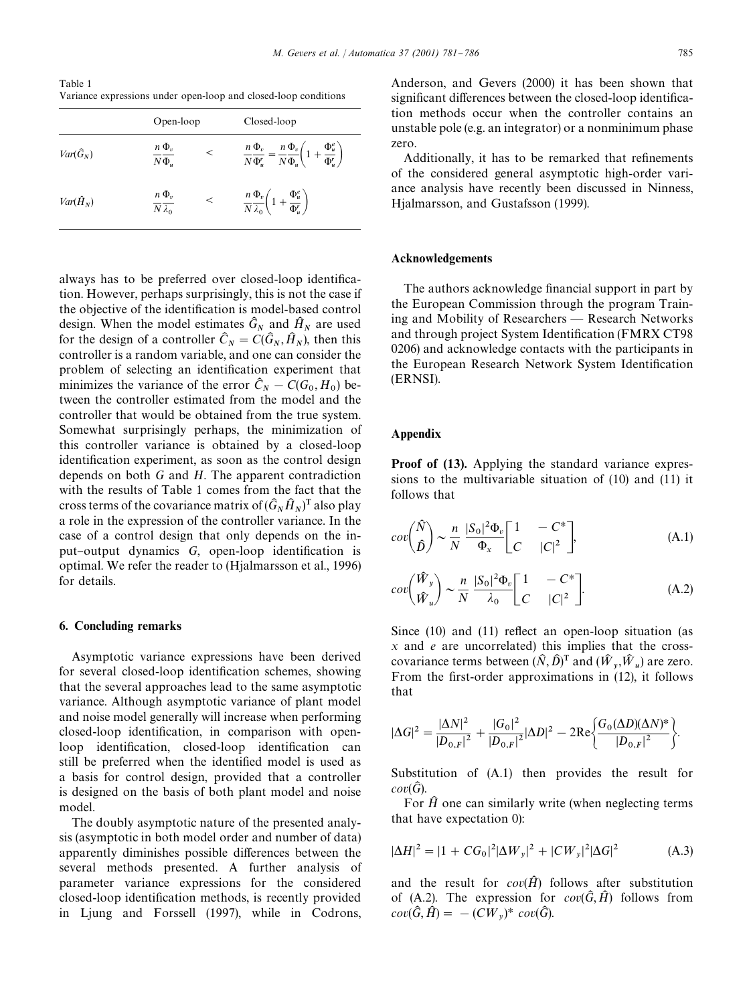Table 1 Variance expressions under open-loop and closed-loop conditions

|                  | Open-loop                                        | Closed-loop                                                                                            |
|------------------|--------------------------------------------------|--------------------------------------------------------------------------------------------------------|
| $Var(\hat{G}_N)$ | $n \Phi_v$<br>$\lt$<br>$N\Phi_u$                 | $\frac{n \Phi_v}{N \Phi_u^r} = \frac{n \Phi_v}{N \Phi_u} \left( 1 + \frac{\Phi_u^e}{\Phi_u^r} \right)$ |
| $Var(\hat{H}_N)$ | $n \Phi_v$<br>$\,<\,$<br>$\overline{N\lambda_0}$ | $\frac{n \Phi_v}{N \lambda_0} \bigg( 1 + \frac{\Phi_u^e}{\Phi_u^r} \bigg)$                             |

always has to be preferred over closed-loop identification. However, perhaps surprisingly, this is not the case if the objective of the identification is model-based control design. When the model estimates  $\hat{G}_N$  and  $\hat{H}_N$  are used for the design of a controller  $\hat{C}_N = C(\hat{G}_N, \hat{H}_N)$ , then this controller is a random variable, and one can consider the problem of selecting an identification experiment that minimizes the variance of the error  $\hat{C}_N - C(G_0, H_0)$  between the controller estimated from the model and the controller that would be obtained from the true system. Somewhat surprisingly perhaps, the minimization of this controller variance is obtained by a closed-loop identification experiment, as soon as the control design depends on both *G* and *H*. The apparent contradiction with the results of Table 1 comes from the fact that the cross terms of the covariance matrix of  $(\hat{G}_N \hat{H}_N)^T$  also play a role in the expression of the controller variance. In the case of a control design that only depends on the input-output dynamics *G*, open-loop identification is optimal. We refer the reader to (Hjalmarsson et al., 1996) for details.

## 6. Concluding remarks

Asymptotic variance expressions have been derived for several closed-loop identification schemes, showing that the several approaches lead to the same asymptotic variance. Although asymptotic variance of plant model and noise model generally will increase when performing closed-loop identification, in comparison with openloop identification, closed-loop identification can still be preferred when the identified model is used as a basis for control design, provided that a controller is designed on the basis of both plant model and noise model.

The doubly asymptotic nature of the presented analysis (asymptotic in both model order and number of data) apparently diminishes possible differences between the several methods presented. A further analysis of parameter variance expressions for the considered closed-loop identification methods, is recently provided in Ljung and Forssell (1997), while in Codrons,

Anderson, and Gevers (2000) it has been shown that significant differences between the closed-loop identification methods occur when the controller contains an unstable pole (e.g. an integrator) or a nonminimum phase zero.

Additionally, it has to be remarked that refinements of the considered general asymptotic high-order variance analysis have recently been discussed in Ninness, Hjalmarsson, and Gustafsson (1999).

# Acknowledgements

The authors acknowledge financial support in part by the European Commission through the program Training and Mobility of Researchers - Research Networks and through project System Identification (FMRX CT98) 0206) and acknowledge contacts with the participants in the European Research Network System Identification (ERNSI).

#### Appendix

Proof of (13). Applying the standard variance expressions to the multivariable situation of (10) and (11) it follows that

$$
cov\left(\stackrel{\hat{N}}{\hat{D}}\right) \sim \frac{n}{N} \frac{|S_0|^2 \Phi_v}{\Phi_x} \begin{bmatrix} 1 & -C^* \\ C & |C|^2 \end{bmatrix},\tag{A.1}
$$

$$
cov\left(\frac{\hat{W}_y}{\hat{W}_u}\right) \sim \frac{n}{N} \frac{|S_0|^2 \Phi_v}{\lambda_0} \left[\frac{1}{C} - \frac{C^*}{|C|^2}\right].
$$
 (A.2)

Since  $(10)$  and  $(11)$  reflect an open-loop situation (as *x* and *e* are uncorrelated) this implies that the crosscovariance terms between  $(\hat{N}, \hat{D})^T$  and  $(\hat{W}_y, \hat{W}_u)$  are zero. From the first-order approximations in (12), it follows that

$$
|\Delta G|^2 = \frac{|\Delta N|^2}{|D_{0,F}|^2} + \frac{|G_0|^2}{|D_{0,F}|^2} |\Delta D|^2 - 2\text{Re}\left\{\frac{G_0(\Delta D)(\Delta N)^*}{|D_{0,F}|^2}\right\}.
$$

Substitution of (A.1) then provides the result for  $cov(\widehat{G})$ .

For  $\hat{H}$  one can similarly write (when neglecting terms that have expectation 0):

$$
|\Delta H|^2 = |1 + CG_0|^2 |\Delta W_y|^2 + |CW_y|^2 |\Delta G|^2 \tag{A.3}
$$

and the result for  $cov(\hat{H})$  follows after substitution of (A.2). The expression for  $cov(\hat{G}, \hat{H})$  follows from  $cov(\hat{G}, \hat{H}) = -(\hat{CW}_y)^* cov(\hat{G}).$